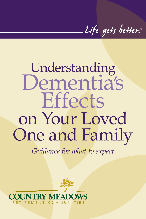Life gets better.

# Understanding Dementia's **Effects** on Your Loved One and Family

*Guidance for what to expect*



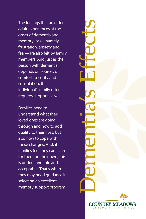The feelings that an older adult experiences at the onset of dementia and memory loss—namely frustration, anxiety and fear—are also felt by family members. And just as the person with dementia depends on sources of comfort, security and consolation, that individual's family often requires support, as well.

Families need to understand what their loved ones are going through and how to add quality to their lives, but also how to cope with these changes. And, if families feel they can't care for them on their own, this is understandable and acceptable. That's when they may need guidance in selecting an excellent memory support program.

Dementia's Effects TRY MEA RETIREMENT COMMUNITIE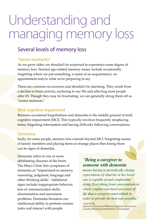## Understanding and managing memory loss

#### Several levels of memory loss

#### "Senior moments"

As we grow older, we shouldn't be surprised to experience some degree of memory loss. Normal age-related memory issues include occasionally forgetting where we put something, a name of an acquaintance, an appointment and/or what we're preparing to say.

These are common occurrences and shouldn't be alarming. They result from a decline in brain activity, surfacing in our 50s and affecting most people after 65. Though they may be frustrating, we can generally shrug them off as "senior moments."

#### Mild cognitive impairment

Between occasional forgetfulness and dementia is the middle ground of mild cognitive impairment (MCI). This typically involves frequently misplacing items, forgetting information and having difficulty following conversations.

#### Dementia

Sadly, for some people, memory loss extends beyond MCI. Forgetting names of family members and placing items in strange places then losing them can be signs of dementia.

Dementia refers to one or more debilitating diseases of the brain. The Mayo Clinic lists symptoms of dementia as "impairment in memory, reasoning, judgment, language and other thinking skills." Additional signs include inappropriate behavior, loss of communication skills, disorientation and movement problems. Dementia threatens our intellectual ability to perform routine tasks and interact with people.

#### *"Being a caregiver to someone with dementia*

doi<mark>ng. Everything from conversations</mark> to<br>where couples can travel are areas of order to provide the best care possible." *means having to periodically change expectations of what his or her loved one is capable of and comfortable where couples can travel are areas of life that a caregiver must rethink in* 

Country Meadows Retirement Communities<br>|<br>|  $\overline{-}$ Joel Kroft *Executive Director of Memory Support Services at*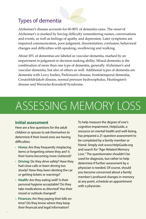#### Types of dementia

Alzheimer's disease accounts for 60-80% of dementia cases. The onset of Alzheimer's is marked by having difficulty remembering names, conversations and events, as well as feelings of apathy and depression. Later symptoms are impaired communication, poor judgment, disorientation, confusion, behavioral changes and difficulties with speaking, swallowing and walking.

About 10% of dementias are labeled as vascular dementia, marked by an impairment in judgment or decision-making ability. Mixed dementia is the combination of more than one type of dementia, generally Alzheimer's and vascular dementia, but also of others as well. Additional types of dementia are dementia with Lewy bodies, Parkinson's disease, frontotemporal dementia, Creutzfeldt-Jakob disease, normal pressure hydrocephalus, Huntington's disease and Wernicke-Korsakoff Syndrome.

## ASSESSING MEMORY LOSS

#### **Initial assessment**

Here are a few questions for the adult children or spouse to ask themselves to determine if their loved ones are having difficulties:

- **• Home:** Are they frequently misplacing items or forgetting where they are? Is their home becoming more cluttered?
- **• Driving:** Do they drive safely? Have they had close calls or been driving too slowly? Have they been denting the car or getting tickets or warnings?
- **• Health:** Are they eating well? Is their personal hygiene acceptable? Do they take medications as directed? Has their mood or outlook changed?
- **• Finances:** Are they paying their bills on time? Do they know where they keep their financial and legal information?

To help measure the degree of one's cognitive impairment, HelpGuide, a resource on mental health and well-being, has prepared a 21-question assessment to be completed by a family member or friend. Simply visit www.HelpGuide.org and search for "Age-Related Memory Loss." The questionnaire shouldn't be used for diagnosis, but rather to help determine if further assessment by a physician is needed. Of course, should you become concerned about a family member's profound changes in memory at any point, schedule an appointment with a physician.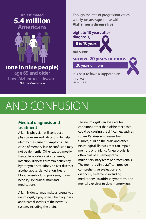#### **An estimated 5.4 million Americans**



**(one in nine people)**

**age 65 and older**<br>© Alzbeimer's disea have Alzheimer's disease. –Alzheimer's Association

Though the rate of progression varies widely, **on average**, those with **Alzheimer's disease live**

#### **eight to 10 years after diagnosis,**

**8 to 10 years**

but some

**survive 20 years or more.**

**20 years or more**

It is best to have a support plan in place. –Mayo Clinic

### AND CONFUSION  $\overline{C}$

#### **Medical diagnosis and treatment**

A family physician will conduct a physical exam and lab testing to help identify the cause of symptoms. The cause of memory loss or confusion may not be dementia. Other causes, mostly treatable, are depression; anemia;<br>infection; diabetes; vitamin deficie infection; diabetes; vitamin deficiency; micedori, diabetes, vitamin denetting,<br>hypothyroidism; kidney or liver disease; Th alcohol abuse; dehydration; heart, blood vessel or lung problems; minor head injury; brain tumor; and medications. noi<br>d v<br>d ini Paentify the<br>Cause of mer<br>Pot be deme

> A family doctor may make a referral to a neurologist, a physician who diagnoses and treats disorders of the nervous system, including the brain.

The neurologist can evaluate for conditions other than Alzheimer's that could be causing the difficulties, such as stroke, Parkinson's disease, brain tumors, fluid on the brain and other neurological illnesses that can impair memory or thinking. A neurologist is often part of a memory clinic's multidisciplinary team of professionals. The memory clinic staff can provide comprehensive evaluation and diagnosis; treatment, including medications, to address symptoms; and mental exercises to slow memory loss.

PMS 119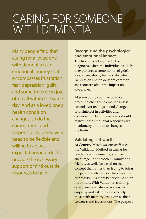## CARING FOR SOMEONE WITH DEMENTIA

Freed to be Hexibic and<br>Willing to adjust the Validation Method in caring for Many people find that caring for a loved one with dementia is an emotional journey that encompasses frustration, fear, depression, guilt, and sometimes even joy, often all within the same day. And as a loved one's health condition changes, so do the commitment and responsibility. Caregivers need to be flexible and willing to adjust expectations in order to provide the necessary support or find outside resources to help.

#### **Recognizing the psychological and emotional impact**

The first effects begin with the diagnosis, when the individual is likely to experience a combination of grief, loss, anger, shock, fear and disbelief. Depression and anxiety are common, as is concern about the impact on loved ones.

At some point, you may observe profound changes in emotions—less control over feelings, mood changes or disinterest in activities and conversation. Family members should realize these emotional responses are involuntary and due to changes in the brain.

#### **Validating self-worth**

residents with dementia, and we<br><mark>enco</mark>urage its approach by family and concept that rather than trying to bring<br>the person with memory loss back into At Country Meadows, our staff uses the Validation Method in caring for residents with dementia, and we friends, as well. It's based on the the person with memory loss back into our reality, it is more beneficial to enter his or hers. With Validation training, caregivers can listen actively with empathy and ask questions to help those with memory loss express their concerns and frustrations. The purpose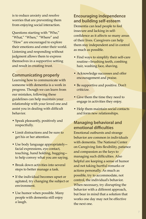is to reduce anxiety and resolve worries that are preventing them from enjoying social interaction.

Questions starting with "Who," "What," "When," "Where" and "How" are encouraged to explore their emotions and enter their world. Listening and responding without judgment allows them to express themselves in a supportive setting and result in creating trust.

#### **Communicating properly**

Learning how to communicate with someone with dementia is a work in progress. Though we can learn from our mistakes, following these guidelines can help maintain your relationship with your loved one and assist you in dealing with difficult behavior.

- Speak pleasantly, positively and respectfully.
- Limit distractions and be sure to get his or her attention.
- Use body language appropriately facial expressions, eye contact, touching, hand holding, hugging to help convey what you are saying.
- Break down activities into several steps to better manage a task.
- If the individual becomes upset or agitated, try changing the subject or environment.
- Use humor when possible. Many people with dementia still enjoy a laugh.

**Encouraging independence and building self-esteem** Dementia can lead people to feel insecure and lacking in selfconfidence as it affects so many areas of their lives. Caregivers can help them stay independent and in control as much as possible.

- Find ways to simplify their self-care routine—brushing teeth, combing hair, washing face, shaving.
- Acknowledge successes and offer encouragement and praise.
- Be supportive and positive. Don't criticize.
- Give them the time they need to engage in activities they enjoy.
- Help them maintain social contacts and form new relationships.

#### **Managing behavioral and emotional difficulties**

Emotional outbursts and strange behavior are common in individuals with dementia. The National Center on Caregiving lists flexibility, patience and compassion as the keys to managing such difficulties. Also helpful are keeping a sense of humor and not taking hurtful remarks or actions personally. As much as possible, try to accommodate, not control, the individual's behavior. When necessary, try disrupting the behavior with a different approach, but bear in mind that a solution that works one day may not be effective the next one.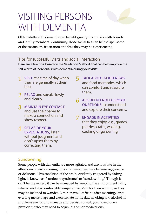## VISITING PERSONS WITH DEMENTIA



Older adults with dementia can benefit greatly from visits with friends and family members. Continuing those social ties can help dispel some of the confusion, frustration and fear they may be experiencing.

#### Tips for successful visits and social interaction

Here are a few tips, based on the Validation Method, that can help improve the self-worth of individuals with dementia during your visits:

- 1| **VISIT** at a time of day when they are generally at their best.
- **RELAX** and speak slowly and clearly.
- 3| **MAINTAIN EYE CONTACT** and use their name to make a connection and show respect.
- 4| **SET ASIDE YOUR EXPECTATIONS,** listen without judgment and don't upset them by correcting them.
- 5| **TALK ABOUT GOOD NEWS** and fond memories, which can comfort and reassure them.
- 6| **ASK OPEN-ENDED, BROAD QUESTIONS** to understand and explore their concerns.
- 7| **ENGAGE IN ACTIVITIES** that they enjoy, e.g., games, puzzles, crafts, walking, cooking or gardening.

#### **Sundowning**

Some people with dementia are more agitated and anxious late in the afternoon or early evening. In some cases, they may become aggressive or delirious. This condition of the brain, evidently triggered by fading light, is known as "sundown syndrome" or "sundowning." Though it can't be prevented, it can be managed by keeping the environment calm, relaxed and at a comfortable temperature. Monitor their activity as they may be inclined to wander. Limit or avoid caffeine after morning, large evening meals, naps and exercise late in the day, smoking and alcohol. If problems are hard to manage and persist, consult your loved one's physician, who may need to adjust his or her medications.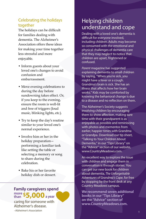#### Celebrating the holidays together

The holidays can be difficult for families dealing with dementia. The Alzheimer's Association offers these ideas for making your time together less stressful and more enjoyable.

- Inform guests about your loved one's changes to avoid confusion and embarrassment.
- Move evening celebrations to during the day before sundowning takes effect. Or, if you keep to the evening, ensure the room is well-lit and free of triggers (loud music, blinking lights, etc.).
- Try to keep the day's routine similar to your loved one's normal experience.
- Involve him or her in the holiday preparation performing a familiar task like setting the table or selecting a memory or song to share during the celebration.
- Bake his or her favorite holiday dish or dessert.

#### **Family caregivers spend more than \$5,000a year**

caring for someone with Alzheimer's disease. –Alzheimer's Association

### Helping children understand and cope

Dealing with a loved one's dementia is difficult for everyone involved, including children. Adults may become so consumed with the emotional and physical challenges of dementia care that they may neglect to notice that children are upset, frightened or confused.

*Parent* magazine has suggested explaining dementia to small children by saying, "When you're sick, you might have a fever or a cough. Grandma's brain is sick. She has an illness that affects how her brain works." Kids may be comforted by knowing the behavioral change is due to a disease and no reflection on them.

The Alzheimer's Society suggests involving children by encouraging them to show affection, making sure time with their grandparent is as enjoyable as possible and reminiscing with photos and mementos from earlier, happier times with Grandma or Grandpa. Download our tip sheet, "Talking to Your Children About Dementia," in our "Tips Library" on the "Advice" section of our website, www.CountryMeadows.com.

An excellent way to explore the issue with children and engage them in conversation is through stories. You can get our new book for children about dementia, *The Unforgettable Adventures of Grandma's Cape*, for free by stopping by the front desk at any Country Meadows campus.

**We recommend seven additional books in our "Tips Library" on the "Advice" section of www.CountryMeadows.com.**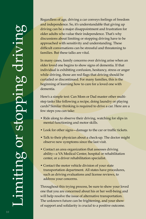Regardless of age, driving a car conveys feelings of freedom and independence. So, it's understandable that giving up driving can be a major disappointment and frustration for older adults who value their independence. That's why discussions about limiting or stopping driving have to be approached with sensitivity and understanding. These difficult conversations can be stressful and threatening to families. But these talks are vital.

In many cases, family concerns over driving arise when an older loved one begins to show signs of dementia. If that individual is exhibiting confusion, hesitancy, stress or anger while driving, those are red flags that driving should be curtailed or discontinued. For many families, this is the beginning of learning how to care for a loved one with dementia.

Here's a simple test: Can Mom or Dad master other multistep tasks like following a recipe, doing laundry or playing cards? Similar thinking is required to drive a car. Here are a few steps you can take:

- Ride along to observe their driving, watching for slips in mental functioning and motor skills.
- Look for other signs—damage to the car or traffic tickets.
- Talk to their physician about a check-up. The doctor might observe new symptoms since the last visit.
- Contact an area organization that assesses driving ability—a VA Medical Center, hospital or rehabilitation center, or a driver rehabilitation specialist.
- Contact the motor vehicle division of your state transportation department. All states have procedures, such as driving evaluations and license reviews, to address your concerns.

Throughout this trying process, be sure to show your loved one that you are concerned about his or her well-being and will help resolve the issue of alternative transportation. The unknown future can be frightening, and your show of support and solidarity is crucial to a positive outcome.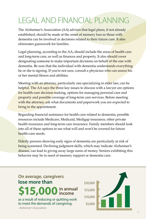### LEGAL AND FINANCIAL PLANNING

The Alzheimer's Association (AA) advises that legal plans, if not already established, should be made at the onset of memory loss so those with dementia can be involved in decisions related to their future care. It also eliminates guesswork for families.

Legal planning, according to the AA, should include the areas of health care and long-term care, as well as finances and property. It also should cover designating someone to make important decisions on behalf of the one with dementia. Be sure that the individual with dementia understands everything he or she is signing. If you're not sure, consult a physician who can assess his or her mental fitness and abilities.

Meeting with an attorney, particularly one specializing in elder law, can be helpful. The AA says the three key issues to discuss with a lawyer are options for health-care decision making, options for managing personal care and property and possible coverage of long-term care services. Before meeting with the attorney, ask what documents and paperwork you are expected to bring to the appointment.

Regarding financial assistance for health care related to dementia, possible resources include Medicare, Medicaid, Medigap insurance, other private health insurance and long-term care insurance. Family members should look into all of these options to see what will and won't be covered for future health-care needs.

Elderly persons showing early signs of dementia are particularly at risk of being scammed. Declining judgment skills, which may indicate Alzheimer's disease, can lead to giving away large sums of money. Seniors exhibiting this behavior may be in need of memory support or dementia care.

STO,000<br>
as a result of reducing or quitting work<br>
to meet the demands of caregiving.<br>
Alzheimer's Association<br>
11 as a result of reducing or quitting work to meet the demands of caregiving. **On average, caregivers lose more than \$15,000in annual**  in annual<br>income

\$20,000 \$15,000 \$10,000 \$5,000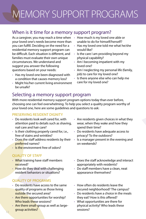## MEMORY SUPPORT PROGRAMS

#### When is it time for a memory support program?

As a caregiver, you may reach a time when your loved one's needs become more than you can fulfill. Deciding on the need for a residential memory support program can be difficult. Each situation is different, and families must evaluate their own unique circumstances. We understand and suggest you answer the following questions based on your needs:

- Has my loved one been diagnosed with a condition that causes memory loss?
- Might his/her current living environment be unsafe?
- How much is my loved one able or unable to do for himself/herself?
- Has my loved one told me what he/she would like?
- Is the care I am providing beyond my physical capability?
- Am I becoming impatient with my loved one?
- Am I neglecting my personal life (family, job) to care for my loved one?
- Is there anyone else who can help me care for my loved one?

#### Selecting a memory support program

With more residential memory support program options today than ever before, choosing one can feel overwhelming. To help you select a quality program worthy of your loved one, here are some guidelines and questions to ask:

#### PRESERVING RESIDENT DIGNITY

- Do residents look well cared for, with attention paid to details such as shaving, nail care and hair care?
- Is their clothing properly cared for, i.e., free of stains and wrinkles?
- Does the staff address residents by their preferred names?
- Is the environment free of odors?

#### QUALITY OF STAFF

- What training have staff members received?
- How do they deal with challenging resident behaviors or situations?

#### QUALITY OF PROGRAMS

- Do residents have access to the same quality of programs as those living outside the secured area?
- Are there opportunities for worship? Who leads these sessions?
- Are there small-group as well as largegroup activities?
- Are residents given choices in what they wear, when they wake and how they spend their time?
- Do residents have adequate access to privacy? To the outdoors?
- Is a manager present in the evening and on weekends?
- Does the staff acknowledge and interact appropriately with residents?
- Do staff members have a clean, neat appearance themselves?
- How often do residents leave the secured neighborhood? The campus?
- Do residents have a choice in the meals they eat? How is this offered?
- What opportunities are there for physical activity? Who leads these sessions?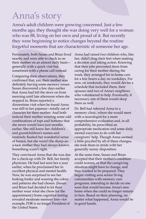### Anna's story

Anna's adult children were growing concerned. Just a few months ago, they thought she was doing very well for a woman who was 88, living on her own and proud of it. But recently they were beginning to notice changes beyond the routine forgetful moments that are characteristic of someone her age.

Fortunately, both Susan and Brian lived nearby and were able to check in on their mother on an almost daily basis generally with a quick visit but sometimes with a phone call instead.

Comparing their observations, they confirmed that, yes, their mother was definitely having some memory issues. Susan discovered a few days earlier that Anna had left the stove on from morning until late afternoon when she stopped in. Brian reported a dinnertime visit when he found Anna was still in her pajamas—totally out of character for their mother. And both noticed their mother wearing some odd combinations of tops and bottoms that she never would have just months earlier. She still knew her children's and grandchildren's names and routinely flashed her wonderful sense of humor, but she wasn't the sharp-asa-tack mother they had always known. Something wasn't right.

They convinced Anna that she was due for a check-up with Dr. Bell, her family physician. He had last seen her a year earlier, when he proclaimed her in excellent physical and mental health. Now, he was surprised to see her looking frailer and wearing the colors and patterns she had chosen. (Susan and Brian had decided to let their mother wear what she chose for the appointment.) Some cognitive testing revealed moderate memory loss—for example, FDR is no longer President of the United States.

Anna had raised two children who, like her, didn't drag their feet when making a decision and taking action. Knowing that their jobs prevented them from caring for their mother during the week, they arranged for in-home care for a few hours a day on weekdays. For now, on weekends, they would devise a schedule that included them, their spouses and two of Anna's neighbors who volunteered to help. Eventually, if necessary, one of them would sleep there as well.

Dr. Bell had referred Anna to a memory clinic, where she would meet with a neurologist for a more comprehensive evaluation and, in all probability, be prescribed an appropriate medication and some daily mental exercises to do with her caregivers' help. Though Anna seemed a little puzzled by all of these changes, she took them in stride with her generally sunny disposition.

At the same time, Susan and Brian accepted that their mother's condition could worsen, or that the caregiving situation might have to change, and they wanted to be prepared. They began visiting area senior living communities with memory care programs, intending to decide on one soon that would become Anna's new home when she could no longer remain in hers. Based on their planning, no matter what happened, Anna would be in good hands.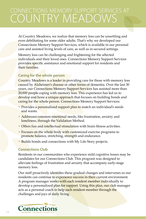### CONNECTIONS MEMORY SUPPORT SERVICES AT COUNTRY MEADOWS

At Country Meadows, we realize that memory loss can be unsettling and even debilitating for some older adults. That's why we developed our Connections Memory Support Services, which is available in our personal care and assisted living levels of care, as well as in secured settings.

Memory loss can be challenging and frightening for the affected individuals and their loved ones. Connections Memory Support Services provides specific assistance and emotional support for residents and their families.

#### **Caring for the whole person**

Country Meadows is a leader in providing care for those with memory loss caused by **Alzheimer's disease or other forms of dementia. Over the last 30** years, our Connections Memory Support Services has assisted more than 20,000 people coping with memory loss. This experience has led us to develop and hone a unique approach that focuses on building bonds and caring for the whole person. Connections Memory Support Services:

- Provides a personalized support plan to match an individual's needs and wants.
- Addresses common emotional needs, like frustration, anxiety and loneliness, through the Validation Method.
- Offers fun and intellectual stimulation with brain fitness activities.
- Focuses on the whole body with customized exercise programs to promote balance, stretching, strength and endurance.
- Builds bonds and connections with My Life Story projects.

#### **Connections Club**

Residents in our communities who experience mild cognitive losses may be candidates for our Connections Club. This program was designed to alleviate feelings of frustration and anxiety that accompany early-stage memory loss.

Our staff proactively identifies these gradual changes and intervenes so our residents can continue to experience success in their current environment. A program manager works with each resident member individually to develop a personalized plan for support. Using this plan, our club manager acts as a personal coach to help each resident member through the challenges and joys of daily living.

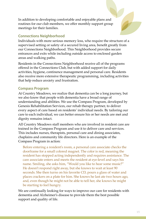In addition to developing comfortable and enjoyable plans and routines for our club members, we offer monthly support group meetings for their families.

#### **Connections Neighborhood**

Individuals with more serious memory loss, who require the structure of a<br>supervised setting or safety of a secured living area, benefit greatly from entrances and exits while including outside access to enclosed garden<br>areas and walking paths supervised setting or safety of a secured living area, benefit greatly from our Connections Neighborhood. This Neighborhood provides secure areas and walking paths.

areas and walking paths.<br>Residents in the Connections Neighborhood receive all of the programs activities, hygiene, continence management and personal care. Residents offered in the Connections Club, but with added support for daily<br>estimities busines continense menagement and newcapel save Bes also receive more extensive therapeutic programming, including activities that help reduce anxiety and frustration.

#### **Compass Program**

care to each mulviqual<br>dignity remains intact. we also know that people with dementia have a broad range of<br>understanding and abilities. We use the Compass Program, dev At Country Meadows, we realize that dementia can be a long journey, but understanding and abilities. We use the Compass Program, developed by Genesis Rehabilitation Services, our rehab therapy partner, to deliver every aspect of care based on residents' individual needs. By tailoring our care to each individual, we can better ensure his or her needs are met and

 $\frac{1}{2}$  All Country Meadows staff members who are involved in resident care are All Country Meadows staff members who are involved in resident care a<br>trained in the Compass Program and use it to deliver care and services. This includes nurses, therapists, personal care and dining associate<br>chaplains and community life directors. Here is an example of the This includes nurses, therapists, personal care and dining associates, Compass Program in action:

mpass Program in action:<br>Before entering a resident's room, a personal care associate checks the doorframe for a small colored magnet. The color is red, meaning the resident has stopped acting independently and requires assistance. The care associate enters and meets the resident at eye-level and says his name. Smiling, she asks him, "Would you like to hear some music?" He doesn't respond right away, but she knows to wait at least 90 seconds. She then turns on his favorite CD, pours a glass of water and places crackers on a plate for him. She knows he last ate two hours ago, and, even though he might not be able to tell her, she knows he might be starting to feel hungry.

We are continually looking for ways to improve our care for residents with dementia and Alzheimer's disease to provide them the best possible support and quality of life.